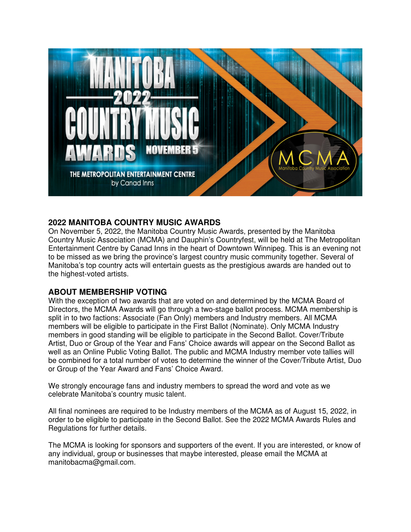

# **2022 MANITOBA COUNTRY MUSIC AWARDS**

On November 5, 2022, the Manitoba Country Music Awards, presented by the Manitoba Country Music Association (MCMA) and Dauphin's Countryfest, will be held at The Metropolitan Entertainment Centre by Canad Inns in the heart of Downtown Winnipeg. This is an evening not to be missed as we bring the province's largest country music community together. Several of Manitoba's top country acts will entertain guests as the prestigious awards are handed out to the highest-voted artists.

## **ABOUT MEMBERSHIP VOTING**

With the exception of two awards that are voted on and determined by the MCMA Board of Directors, the MCMA Awards will go through a two-stage ballot process. MCMA membership is split in to two factions: Associate (Fan Only) members and Industry members. All MCMA members will be eligible to participate in the First Ballot (Nominate). Only MCMA Industry members in good standing will be eligible to participate in the Second Ballot. Cover/Tribute Artist, Duo or Group of the Year and Fans' Choice awards will appear on the Second Ballot as well as an Online Public Voting Ballot. The public and MCMA Industry member vote tallies will be combined for a total number of votes to determine the winner of the Cover/Tribute Artist, Duo or Group of the Year Award and Fans' Choice Award.

We strongly encourage fans and industry members to spread the word and vote as we celebrate Manitoba's country music talent.

All final nominees are required to be Industry members of the MCMA as of August 15, 2022, in order to be eligible to participate in the Second Ballot. See the 2022 MCMA Awards Rules and Regulations for further details.

The MCMA is looking for sponsors and supporters of the event. If you are interested, or know of any individual, group or businesses that maybe interested, please email the MCMA at manitobacma@gmail.com.